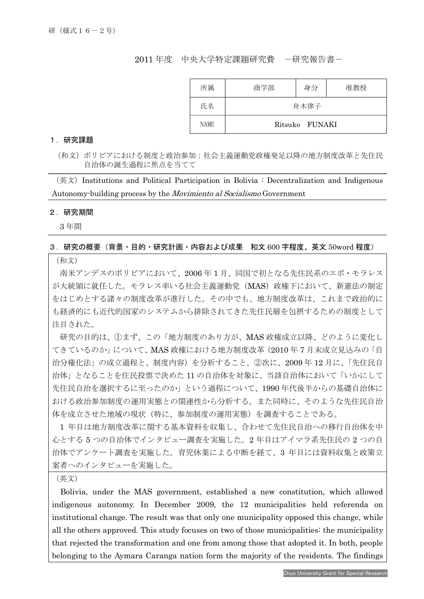## 2011 年度 中央大学特定課題研究費 - 研究報告書-

| 所属   | 商学部  | 身分             | 准教授 |
|------|------|----------------|-----|
| 氏名   | 舟木律子 |                |     |
| NAME |      | Ritsuko FUNAKI |     |

#### 1.研究課題

(和文)ボリビアにおける制度と政治参加:社会主義運動党政権発足以降の地方制度改革と先住民 自治体の誕生過程に焦点を当てて

 $(\&$ 文) Institutions and Political Participation in Bolivia : Decentralization and Indigenous Autonomy-building process by the Movimiento al Socialismo Government

### 2.研究期間

I

3 年間

### 3.研究の概要(背景・目的・研究計画・内容および成果 和文 600 字程度、英文 50word 程度)

(和文)

南米アンデスのボリビアにおいて、2006 年 1 月、同国で初となる先住民系のエボ・モラレス が大統領に就任した。モラレス率いる社会主義運動党(MAS)政権下において、新憲法の制定 をはじめとする諸々の制度改革が進行した。その中でも、地方制度改革は、これまで政治的に も経済的にも近代的国家のシステムから排除されてきた先住民層を包摂するための制度として 注目された。

研究の目的は、①まず、この「地方制度のあり方が、MAS 政権成立以降、どのように変化し てきているのか」について、MAS 政権における地方制度改革(2010 年 7 月末成立見込みの「自 治分権化法」の成立過程と、制度内容)を分析すること。②次に、2009 年 12 月に、「先住民自 治体」となることを住民投票で決めた 11 の自治体を対象に、当該自治体において「いかにして 先住民自治を選択するに至ったのか」という過程について、1990 年代後半からの基礎自治体に おける政治参加制度の運用実態との関連性から分析する。また同時に、そのような先住民自治 体を成立させた地域の現状(特に、参加制度の運用実態)を調査することである。

1 年目は地方制度改革に関する基本資料を収集し、合わせて先住民自治への移行自治体を中 心とする 5 つの自治体でインタビュー調査を実施した。2 年目はアイマラ系先住民の 2 つの自 治体でアンケート調査を実施した。育児休業による中断を経て、3 年目には資料収集と政策立 案者へのインタビューを実施した。

(英文)

Bolivia, under the MAS government, established a new constitution, which allowed indigenous autonomy. In December 2009, the 12 municipalities held referenda on institutional change. The result was that only one municipality opposed this change, while all the others approved. This study focuses on two of those municipalities: the municipality that rejected the transformation and one from among those that adopted it. In both, people belonging to the Aymara Caranga nation form the majority of the residents. The findings